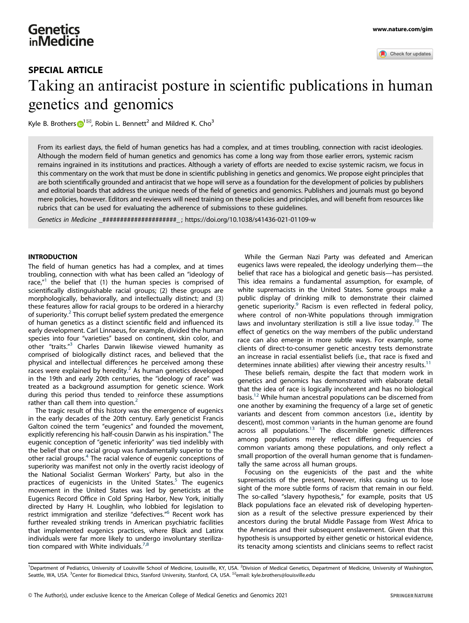

# Taking an antiracist posture in scientific publications in human genetics and genomics

Kyle B. Brothers  $\mathbb{D}^{1\boxtimes}$  $\mathbb{D}^{1\boxtimes}$  $\mathbb{D}^{1\boxtimes}$ , Robin L. Bennett<sup>2</sup> and Mildred K. Cho<sup>3</sup>

From its earliest days, the field of human genetics has had a complex, and at times troubling, connection with racist ideologies. Although the modern field of human genetics and genomics has come a long way from those earlier errors, systemic racism remains ingrained in its institutions and practices. Although a variety of efforts are needed to excise systemic racism, we focus in this commentary on the work that must be done in scientific publishing in genetics and genomics. We propose eight principles that are both scientifically grounded and antiracist that we hope will serve as a foundation for the development of policies by publishers and editorial boards that address the unique needs of the field of genetics and genomics. Publishers and journals must go beyond mere policies, however. Editors and reviewers will need training on these policies and principles, and will benefit from resources like rubrics that can be used for evaluating the adherence of submissions to these guidelines.

Genetics in Medicine \_#####################\_ ;<https://doi.org/10.1038/s41436-021-01109-w>

# **INTRODUCTION**

The field of human genetics has had a complex, and at times troubling, connection with what has been called an "ideology of race,"<sup>[1](#page-3-0)</sup> the belief that (1) the human species is comprised of scientifically distinguishable racial groups; (2) these groups are morphologically, behaviorally, and intellectually distinct; and (3) these features allow for racial groups to be ordered in a hierarchy of superiority. $2$  This corrupt belief system predated the emergence of human genetics as a distinct scientific field and influenced its early development. Carl Linnaeus, for example, divided the human species into four "varieties" based on continent, skin color, and other "traits." [3](#page-3-0) Charles Darwin likewise viewed humanity as comprised of biologically distinct races, and believed that the physical and intellectual differences he perceived among these races were explained by heredity.<sup>[2](#page-3-0)</sup> As human genetics developed in the 19th and early 20th centuries, the "ideology of race" was treated as a background assumption for genetic science. Work during this period thus tended to reinforce these assumptions rather than call them into question.<sup>[2](#page-3-0)</sup>

The tragic result of this history was the emergence of eugenics in the early decades of the 20th century. Early geneticist Francis Galton coined the term "eugenics" and founded the movement, explicitly referencing his half-cousin Darwin as his inspiration.<sup>[4](#page-3-0)</sup> The eugenic conception of "genetic inferiority" was tied indelibly with the belief that one racial group was fundamentally superior to the other racial groups.[4](#page-3-0) The racial valence of eugenic conceptions of superiority was manifest not only in the overtly racist ideology of the National Socialist German Workers' Party, but also in the practices of eugenicists in the United States. $5$  The eugenics movement in the United States was led by geneticists at the Eugenics Record Office in Cold Spring Harbor, New York, initially directed by Harry H. Loughlin, who lobbied for legislation to restrict immigration and sterilize "defectives." [6](#page-3-0) Recent work has further revealed striking trends in American psychiatric facilities that implemented eugenics practices, where Black and Latinx individuals were far more likely to undergo involuntary sterilization compared with White individuals. $7,8$ 

While the German Nazi Party was defeated and American eugenics laws were repealed, the ideology underlying them—the belief that race has a biological and genetic basis—has persisted. This idea remains a fundamental assumption, for example, of white supremacists in the United States. Some groups make a public display of drinking milk to demonstrate their claimed genetic superiority.<sup>[9](#page-3-0)</sup> Racism is even reflected in federal policy, where control of non-White populations through immigration laws and involuntary sterilization is still a live issue today.<sup>[10](#page-3-0)</sup> The effect of genetics on the way members of the public understand race can also emerge in more subtle ways. For example, some clients of direct-to-consumer genetic ancestry tests demonstrate an increase in racial essentialist beliefs (i.e., that race is fixed and determines innate abilities) after viewing their ancestry results. $11$ 

These beliefs remain, despite the fact that modern work in genetics and genomics has demonstrated with elaborate detail that the idea of race is logically incoherent and has no biological basis.[12](#page-3-0) While human ancestral populations can be discerned from one another by examining the frequency of a large set of genetic variants and descent from common ancestors (i.e., identity by descent), most common variants in the human genome are found across all populations.<sup>[13](#page-3-0)</sup> The discernible genetic differences among populations merely reflect differing frequencies of common variants among these populations, and only reflect a small proportion of the overall human genome that is fundamentally the same across all human groups.

Focusing on the eugenicists of the past and the white supremacists of the present, however, risks causing us to lose sight of the more subtle forms of racism that remain in our field. The so-called "slavery hypothesis," for example, posits that US Black populations face an elevated risk of developing hypertension as a result of the selective pressure experienced by their ancestors during the brutal Middle Passage from West Africa to the Americas and their subsequent enslavement. Given that this hypothesis is unsupported by either genetic or historical evidence, its tenacity among scientists and clinicians seems to reflect racist

<sup>1</sup>Department of Pediatrics, University of Louisville School of Medicine, Louisville, KY, USA. <sup>2</sup>Division of Medical Genetics, Department of Medicine, University of Washington, Seattle, WA, USA. <sup>3</sup>Center for Biomedical Ethics, Stanford University, Stanford, CA, USA. <sup>⊠</sup>email: [kyle.brothers@louisville.edu](mailto:kyle.brothers@louisville.edu)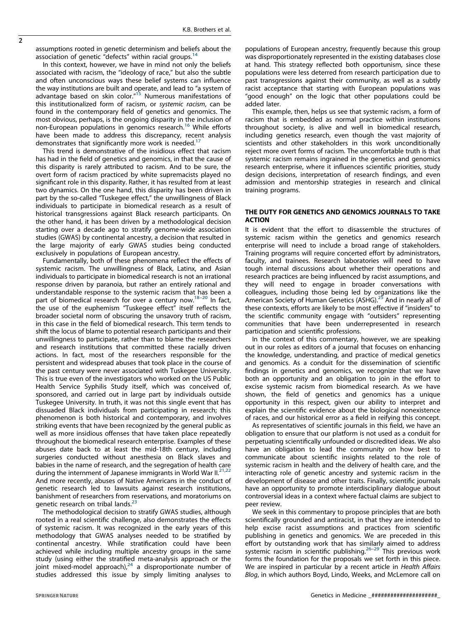assumptions rooted in genetic determinism and beliefs about the association of genetic "defects" within racial groups.<sup>[14](#page-3-0)</sup>

In this context, however, we have in mind not only the beliefs associated with racism, the "ideology of race," but also the subtle and often unconscious ways these belief systems can influence the way institutions are built and operate, and lead to "a system of advantage based on skin color." [15](#page-3-0) Numerous manifestations of this institutionalized form of racism, or systemic racism, can be found in the contemporary field of genetics and genomics. The most obvious, perhaps, is the ongoing disparity in the inclusion of non-European populations in genomics research.[16](#page-3-0) While efforts have been made to address this discrepancy, recent analysis demonstrates that significantly more work is needed.<sup>17</sup>

This trend is demonstrative of the insidious effect that racism has had in the field of genetics and genomics, in that the cause of this disparity is rarely attributed to racism. And to be sure, the overt form of racism practiced by white supremacists played no significant role in this disparity. Rather, it has resulted from at least two dynamics. On the one hand, this disparity has been driven in part by the so-called "Tuskegee effect," the unwillingness of Black individuals to participate in biomedical research as a result of historical transgressions against Black research participants. On the other hand, it has been driven by a methodological decision starting over a decade ago to stratify genome-wide association studies (GWAS) by continental ancestry, a decision that resulted in the large majority of early GWAS studies being conducted exclusively in populations of European ancestry.

Fundamentally, both of these phenomena reflect the effects of systemic racism. The unwillingness of Black, Latinx, and Asian individuals to participate in biomedical research is not an irrational response driven by paranoia, but rather an entirely rational and understandable response to the systemic racism that has been a part of biomedical research for over a century now.<sup>[18](#page-3-0)–[20](#page-3-0)</sup> In fact, the use of the euphemism "Tuskegee effect" itself reflects the broader societal norm of obscuring the unsavory truth of racism, in this case in the field of biomedical research. This term tends to shift the locus of blame to potential research participants and their unwillingness to participate, rather than to blame the researchers and research institutions that committed these racially driven actions. In fact, most of the researchers responsible for the persistent and widespread abuses that took place in the course of the past century were never associated with Tuskegee University. This is true even of the investigators who worked on the US Public Health Service Syphilis Study itself, which was conceived of, sponsored, and carried out in large part by individuals outside Tuskegee University. In truth, it was not this single event that has dissuaded Black individuals from participating in research; this phenomenon is both historical and contemporary, and involves striking events that have been recognized by the general public as well as more insidious offenses that have taken place repeatedly throughout the biomedical research enterprise. Examples of these abuses date back to at least the mid-18th century, including surgeries conducted without anesthesia on Black slaves and babies in the name of research, and the segregation of health care during the internment of Japanese immigrants in World War II.<sup>[21](#page-3-0),[22](#page-3-0)</sup> And more recently, abuses of Native Americans in the conduct of genetic research led to lawsuits against research institutions, banishment of researchers from reservations, and moratoriums on genetic research on tribal lands.<sup>[23](#page-3-0)</sup>

The methodological decision to stratify GWAS studies, although rooted in a real scientific challenge, also demonstrates the effects of systemic racism. It was recognized in the early years of this methodology that GWAS analyses needed to be stratified by continental ancestry. While stratification could have been achieved while including multiple ancestry groups in the same study (using either the stratified meta-analysis approach or the joint mixed-model approach), $^{24}$  $^{24}$  $^{24}$  a disproportionate number of studies addressed this issue by simply limiting analyses to

populations of European ancestry, frequently because this group was disproportionately represented in the existing databases close at hand. This strategy reflected both opportunism, since these populations were less deterred from research participation due to past transgressions against their community, as well as a subtly racist acceptance that starting with European populations was "good enough" on the logic that other populations could be added later.

This example, then, helps us see that systemic racism, a form of racism that is embedded as normal practice within institutions throughout society, is alive and well in biomedical research, including genetics research, even though the vast majority of scientists and other stakeholders in this work unconditionally reject more overt forms of racism. The uncomfortable truth is that systemic racism remains ingrained in the genetics and genomics research enterprise, where it influences scientific priorities, study design decisions, interpretation of research findings, and even admission and mentorship strategies in research and clinical training programs.

# THE DUTY FOR GENETICS AND GENOMICS JOURNALS TO TAKE ACTION

It is evident that the effort to disassemble the structures of systemic racism within the genetics and genomics research enterprise will need to include a broad range of stakeholders. Training programs will require concerted effort by administrators, faculty, and trainees. Research laboratories will need to have tough internal discussions about whether their operations and research practices are being influenced by racist assumptions, and they will need to engage in broader conversations with colleagues, including those being led by organizations like the American Society of Human Genetics (ASHG).<sup>[25](#page-3-0)</sup> And in nearly all of these contexts, efforts are likely to be most effective if "insiders" to the scientific community engage with "outsiders" representing communities that have been underrepresented in research participation and scientific professions.

In the context of this commentary, however, we are speaking out in our roles as editors of a journal that focuses on enhancing the knowledge, understanding, and practice of medical genetics and genomics. As a conduit for the dissemination of scientific findings in genetics and genomics, we recognize that we have both an opportunity and an obligation to join in the effort to excise systemic racism from biomedical research. As we have shown, the field of genetics and genomics has a unique opportunity in this respect, given our ability to interpret and explain the scientific evidence about the biological nonexistence of races, and our historical error as a field in reifying this concept.

As representatives of scientific journals in this field, we have an obligation to ensure that our platform is not used as a conduit for perpetuating scientifically unfounded or discredited ideas. We also have an obligation to lead the community on how best to communicate about scientific insights related to the role of systemic racism in health and the delivery of health care, and the interacting role of genetic ancestry and systemic racism in the development of disease and other traits. Finally, scientific journals have an opportunity to promote interdisciplinary dialogue about controversial ideas in a context where factual claims are subject to peer review.

We seek in this commentary to propose principles that are both scientifically grounded and antiracist, in that they are intended to help excise racist assumptions and practices from scientific publishing in genetics and genomics. We are preceded in this effort by outstanding work that has similarly aimed to address systemic racism in scientific publishing.<sup>[26](#page-3-0)-[29](#page-3-0)</sup> This previous work forms the foundation for the proposals we set forth in this piece. We are inspired in particular by a recent article in Health Affairs Blog, in which authors Boyd, Lindo, Weeks, and McLemore call on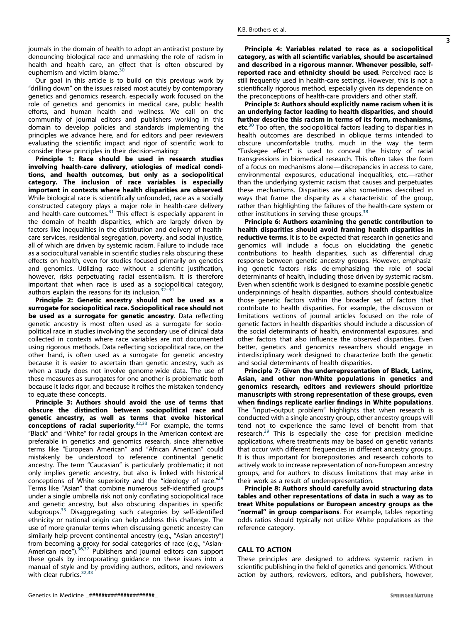journals in the domain of health to adopt an antiracist posture by denouncing biological race and unmasking the role of racism in health and health care, an effect that is often obscured by euphemism and victim blame.<sup>[30](#page-3-0)</sup>

Our goal in this article is to build on this previous work by "drilling down" on the issues raised most acutely by contemporary genetics and genomics research, especially work focused on the role of genetics and genomics in medical care, public health efforts, and human health and wellness. We call on the community of journal editors and publishers working in this domain to develop policies and standards implementing the principles we advance here, and for editors and peer reviewers evaluating the scientific impact and rigor of scientific work to consider these principles in their decision-making:

Principle 1: Race should be used in research studies involving health-care delivery, etiologies of medical conditions, and health outcomes, but only as a sociopolitical category. The inclusion of race variables is especially important in contexts where health disparities are observed. While biological race is scientifically unfounded, race as a socially constructed category plays a major role in health-care delivery and health-care outcomes. $31$  This effect is especially apparent in the domain of health disparities, which are largely driven by factors like inequalities in the distribution and delivery of healthcare services, residential segregation, poverty, and social injustice, all of which are driven by systemic racism. Failure to include race as a sociocultural variable in scientific studies risks obscuring these effects on health, even for studies focused primarily on genetics and genomics. Utilizing race without a scientific justification, however, risks perpetuating racial essentialism. It is therefore important that when race is used as a sociopolitical category, authors explain the reasons for its inclusion. $32-34$  $32-34$  $32-34$ 

Principle 2: Genetic ancestry should not be used as a surrogate for sociopolitical race. Sociopolitical race should not be used as a surrogate for genetic ancestry. Data reflecting genetic ancestry is most often used as a surrogate for sociopolitical race in studies involving the secondary use of clinical data collected in contexts where race variables are not documented using rigorous methods. Data reflecting sociopolitical race, on the other hand, is often used as a surrogate for genetic ancestry because it is easier to ascertain than genetic ancestry, such as when a study does not involve genome-wide data. The use of these measures as surrogates for one another is problematic both because it lacks rigor, and because it reifies the mistaken tendency to equate these concepts.

Principle 3: Authors should avoid the use of terms that obscure the distinction between sociopolitical race and genetic ancestry, as well as terms that evoke historical **conceptions of racial superiority.**<sup>[32,33](#page-3-0)</sup> For example, the terms "Black" and "White" for racial groups in the American context are preferable in genetics and genomics research, since alternative terms like "European American" and "African American" could mistakenly be understood to reference continental genetic ancestry. The term "Caucasian" is particularly problematic; it not only implies genetic ancestry, but also is linked with historical conceptions of White superiority and the "ideology of race."<sup>[34](#page-3-0)</sup> Terms like "Asian" that combine numerous self-identified groups under a single umbrella risk not only conflating sociopolitical race and genetic ancestry, but also obscuring disparities in specific subgroups.<sup>[35](#page-3-0)</sup> Disaggregating such categories by self-identified ethnicity or national origin can help address this challenge. The use of more granular terms when discussing genetic ancestry can similarly help prevent continental ancestry (e.g., "Asian ancestry") from becoming a proxy for social categories of race (e.g., "Asian-American race<sup>"</sup>).<sup>[36](#page-3-0),[37](#page-3-0)</sup> Publishers and journal editors can support these goals by incorporating guidance on these issues into a manual of style and by providing authors, editors, and reviewers with clear rubrics.<sup>[32,33](#page-3-0)</sup>

Principle 4: Variables related to race as a sociopolitical category, as with all scientific variables, should be ascertained and described in a rigorous manner. Whenever possible, selfreported race and ethnicity should be used. Perceived race is still frequently used in health-care settings. However, this is not a scientifically rigorous method, especially given its dependence on the preconceptions of health-care providers and other staff.

Principle 5: Authors should explicitly name racism when it is an underlying factor leading to health disparities, and should further describe this racism in terms of its form, mechanisms, etc.<sup>[30](#page-3-0)</sup> Too often, the sociopolitical factors leading to disparities in health outcomes are described in oblique terms intended to obscure uncomfortable truths, much in the way the term "Tuskegee effect" is used to conceal the history of racial transgressions in biomedical research. This often takes the form of a focus on mechanisms alone—discrepancies in access to care, environmental exposures, educational inequalities, etc.—rather than the underlying systemic racism that causes and perpetuates these mechanisms. Disparities are also sometimes described in ways that frame the disparity as a characteristic of the group, rather than highlighting the failures of the health-care system or other institutions in serving these groups.<sup>[38](#page-3-0)</sup>

Principle 6: Authors examining the genetic contribution to health disparities should avoid framing health disparities in reductive terms. It is to be expected that research in genetics and genomics will include a focus on elucidating the genetic contributions to health disparities, such as differential drug response between genetic ancestry groups. However, emphasizing genetic factors risks de-emphasizing the role of social determinants of health, including those driven by systemic racism. Even when scientific work is designed to examine possible genetic underpinnings of health disparities, authors should contextualize those genetic factors within the broader set of factors that contribute to health disparities. For example, the discussion or limitations sections of journal articles focused on the role of genetic factors in health disparities should include a discussion of the social determinants of health, environmental exposures, and other factors that also influence the observed disparities. Even better, genetics and genomics researchers should engage in interdisciplinary work designed to characterize both the genetic and social determinants of health disparities.

Principle 7: Given the underrepresentation of Black, Latinx, Asian, and other non-White populations in genetics and genomics research, editors and reviewers should prioritize manuscripts with strong representation of these groups, even when findings replicate earlier findings in White populations. The "input–output problem" highlights that when research is conducted with a single ancestry group, other ancestry groups will tend not to experience the same level of benefit from that research.<sup>[39](#page-3-0)</sup> This is especially the case for precision medicine applications, where treatments may be based on genetic variants that occur with different frequencies in different ancestry groups. It is thus important for biorepositories and research cohorts to actively work to increase representation of non-European ancestry groups, and for authors to discuss limitations that may arise in their work as a result of underrepresentation.

Principle 8: Authors should carefully avoid structuring data tables and other representations of data in such a way as to treat White populations or European ancestry groups as the "normal" in group comparisons. For example, tables reporting odds ratios should typically not utilize White populations as the reference category.

## CALL TO ACTION

These principles are designed to address systemic racism in scientific publishing in the field of genetics and genomics. Without action by authors, reviewers, editors, and publishers, however,